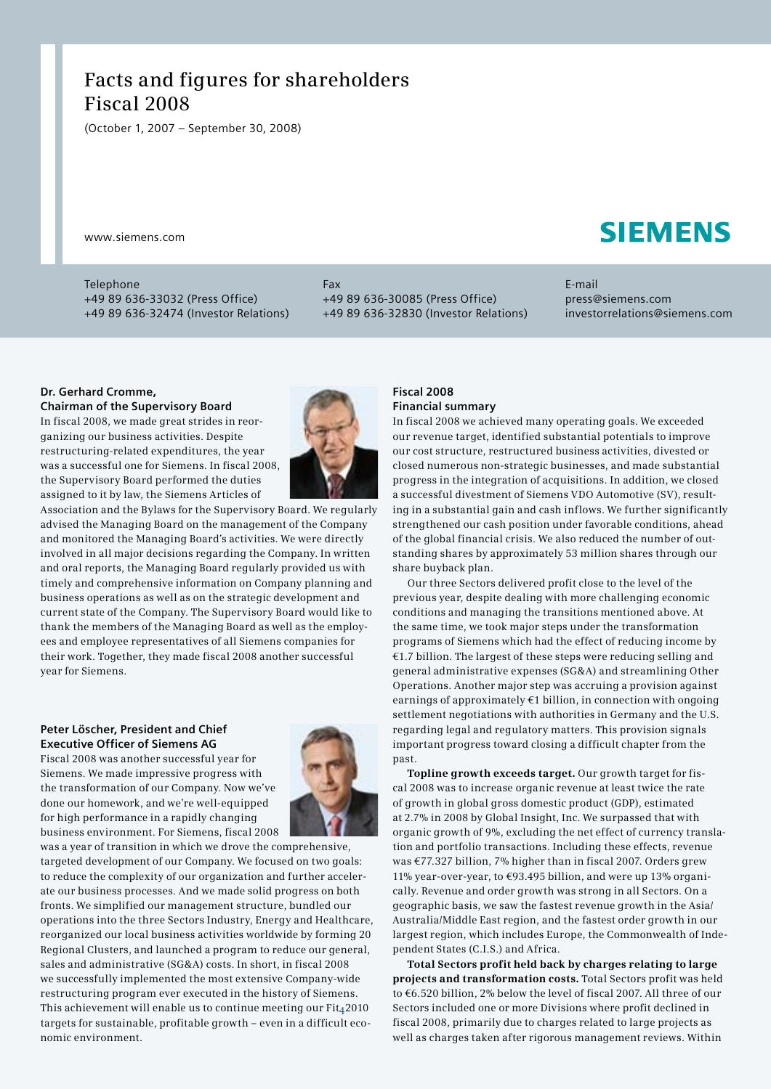# **Facts and figures for shareholders Fiscal 2008**

(October 1, 2007 – September 30, 2008)

www.siemens.com

Telephone +49 89 636-33032 (Press Office) +49 89 636-32474 (Investor Relations) Fax +49 89 636-30085 (Press Office) +49 89 636-32830 (Investor Relations) E-mail press@siemens.com investorrelations@siemens.com

### **Dr. Gerhard Cromme,**

**Chairman of the Supervisory Board**

In fiscal 2008, we made great strides in reorganizing our business activities. Despite restructuring-related expenditures, the year was a successful one for Siemens. In fiscal 2008, the Supervisory Board performed the duties assigned to it by law, the Siemens Articles of



Association and the Bylaws for the Supervisory Board. We regularly advised the Managing Board on the management of the Company and monitored the Managing Board's activities. We were directly involved in all major decisions regarding the Company. In written and oral reports, the Managing Board regularly provided us with timely and comprehensive information on Company planning and business operations as well as on the strategic development and current state of the Company. The Supervisory Board would like to thank the members of the Managing Board as well as the employees and employee representatives of all Siemens companies for their work. Together, they made fiscal 2008 another successful year for Siemens.

# **Peter Löscher, President and Chief Executive Officer of Siemens AG**

Fiscal 2008 was another successful year for Siemens. We made impressive progress with the transformation of our Company. Now we've done our homework, and we're well-equipped for high performance in a rapidly changing business environment. For Siemens, fiscal 2008



was a year of transition in which we drove the comprehensive, targeted development of our Company. We focused on two goals: to reduce the complexity of our organization and further accelerate our business processes. And we made solid progress on both fronts. We simplified our management structure, bundled our operations into the three Sectors Industry, Energy and Healthcare, reorganized our local business activities worldwide by forming 20 Regional Clusters, and launched a program to reduce our general, sales and administrative (SG&A) costs. In short, in fiscal 2008 we successfully implemented the most extensive Company-wide restructuring program ever executed in the history of Siemens. This achievement will enable us to continue meeting our  $Fit<sub>4</sub>2010$ targets for sustainable, profitable growth – even in a difficult economic environment.

### **Fiscal 2008 Financial summary**

In fiscal 2008 we achieved many operating goals. We exceeded our revenue target, identified substantial potentials to improve our cost structure, restructured business activities, divested or closed numerous non-strategic businesses, and made substantial progress in the integration of acquisitions. In addition, we closed a successful divestment of Siemens VDO Automotive (SV), resulting in a substantial gain and cash inflows. We further significantly strengthened our cash position under favorable conditions, ahead of the global financial crisis. We also reduced the number of outstanding shares by approximately 53 million shares through our share buyback plan.

Our three Sectors delivered profit close to the level of the previous year, despite dealing with more challenging economic conditions and managing the transitions mentioned above. At the same time, we took major steps under the transformation programs of Siemens which had the effect of reducing income by €1.7 billion. The largest of these steps were reducing selling and general administrative expenses (SG&A) and streamlining Other Operations. Another major step was accruing a provision against earnings of approximately  $E1$  billion, in connection with ongoing settlement negotiations with authorities in Germany and the U.S. regarding legal and regulatory matters. This provision signals important progress toward closing a difficult chapter from the past.

**Topline growth exceeds target.** Our growth target for fiscal 2008 was to increase organic revenue at least twice the rate of growth in global gross domestic product (GDP), estimated at 2.7% in 2008 by Global Insight, Inc. We surpassed that with organic growth of 9%, excluding the net effect of currency translation and portfolio transactions. Including these effects, revenue was €77.327 billion, 7% higher than in fiscal 2007. Orders grew 11% year-over-year, to €93.495 billion, and were up 13% organically. Revenue and order growth was strong in all Sectors. On a geographic basis, we saw the fastest revenue growth in the Asia/ Australia/Middle East region, and the fastest order growth in our largest region, which includes Europe, the Commonwealth of Independent States (C.I.S.) and Africa.

**Total Sectors profit held back by charges relating to large projects and transformation costs.** Total Sectors profit was held to €6.520 billion, 2% below the level of fiscal 2007. All three of our Sectors included one or more Divisions where profit declined in fiscal 2008, primarily due to charges related to large projects as well as charges taken after rigorous management reviews. Within

# **SIEMENS**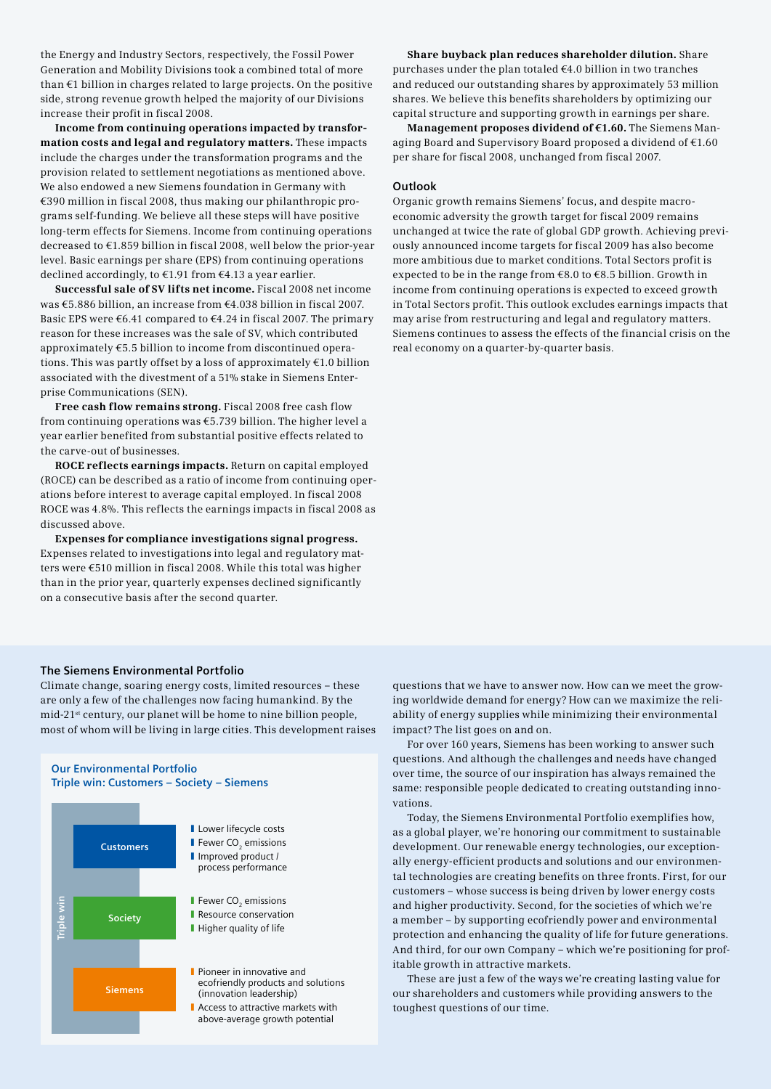the Energy and Industry Sectors, respectively, the Fossil Power Generation and Mobility Divisions took a combined total of more than €1 billion in charges related to large projects. On the positive side, strong revenue growth helped the majority of our Divisions increase their profit in fiscal 2008.

**Income from continuing operations impacted by transformation costs and legal and regulatory matters.** These impacts include the charges under the transformation programs and the provision related to settlement negotiations as mentioned above. We also endowed a new Siemens foundation in Germany with €390 million in fiscal 2008, thus making our philanthropic programs self-funding. We believe all these steps will have positive long-term effects for Siemens. Income from continuing operations decreased to €1.859 billion in fiscal 2008, well below the prior-year level. Basic earnings per share (EPS) from continuing operations declined accordingly, to €1.91 from €4.13 a year earlier.

**Successful sale of SV lifts net income.** Fiscal 2008 net income was €5.886 billion, an increase from €4.038 billion in fiscal 2007. Basic EPS were €6.41 compared to €4.24 in fiscal 2007. The primary reason for these increases was the sale of SV, which contributed approximately €5.5 billion to income from discontinued operations. This was partly offset by a loss of approximately  $\epsilon$ 1.0 billion associated with the divestment of a 51% stake in Siemens Enterprise Communications (SEN).

**Free cash flow remains strong.** Fiscal 2008 free cash flow from continuing operations was €5.739 billion. The higher level a year earlier benefited from substantial positive effects related to the carve-out of businesses.

**ROCE reflects earnings impacts.** Return on capital employed (ROCE) can be described as a ratio of income from continuing operations before interest to average capital employed. In fiscal 2008 ROCE was 4.8%. This reflects the earnings impacts in fiscal 2008 as discussed above.

**Expenses for compliance investigations signal progress.**  Expenses related to investigations into legal and regulatory matters were €510 million in fiscal 2008. While this total was higher than in the prior year, quarterly expenses declined significantly on a consecutive basis after the second quarter.

**Share buyback plan reduces shareholder dilution.** Share purchases under the plan totaled €4.0 billion in two tranches and reduced our outstanding shares by approximately 53 million shares. We believe this benefits shareholders by optimizing our capital structure and supporting growth in earnings per share.

**Management proposes dividend of €1.60.** The Siemens Managing Board and Supervisory Board proposed a dividend of €1.60 per share for fiscal 2008, unchanged from fiscal 2007.

### **Outlook**

Organic growth remains Siemens' focus, and despite macroeconomic adversity the growth target for fiscal 2009 remains unchanged at twice the rate of global GDP growth. Achieving previously announced income targets for fiscal 2009 has also become more ambitious due to market conditions. Total Sectors profit is expected to be in the range from €8.0 to €8.5 billion. Growth in income from continuing operations is expected to exceed growth in Total Sectors profit. This outlook excludes earnings impacts that may arise from restructuring and legal and regulatory matters. Siemens continues to assess the effects of the financial crisis on the real economy on a quarter-by-quarter basis.

### **The Siemens Environmental Portfolio**

Climate change, soaring energy costs, limited resources – these are only a few of the challenges now facing humankind. By the mid-21st century, our planet will be home to nine billion people, most of whom will be living in large cities. This development raises



questions that we have to answer now. How can we meet the growing worldwide demand for energy? How can we maximize the reliability of energy supplies while minimizing their environmental impact? The list goes on and on.

For over 160 years, Siemens has been working to answer such questions. And although the challenges and needs have changed over time, the source of our inspiration has always remained the same: responsible people dedicated to creating outstanding innovations.

Today, the Siemens Environmental Portfolio exemplifies how, as a global player, we're honoring our commitment to sustainable development. Our renewable energy technologies, our exceptionally energy-efficient products and solutions and our environmental technologies are creating benefits on three fronts. First, for our customers – whose success is being driven by lower energy costs and higher productivity. Second, for the societies of which we're a member – by supporting ecofriendly power and environmental protection and enhancing the quality of life for future generations. And third, for our own Company – which we're positioning for profitable growth in attractive markets.

These are just a few of the ways we're creating lasting value for our shareholders and customers while providing answers to the toughest questions of our time.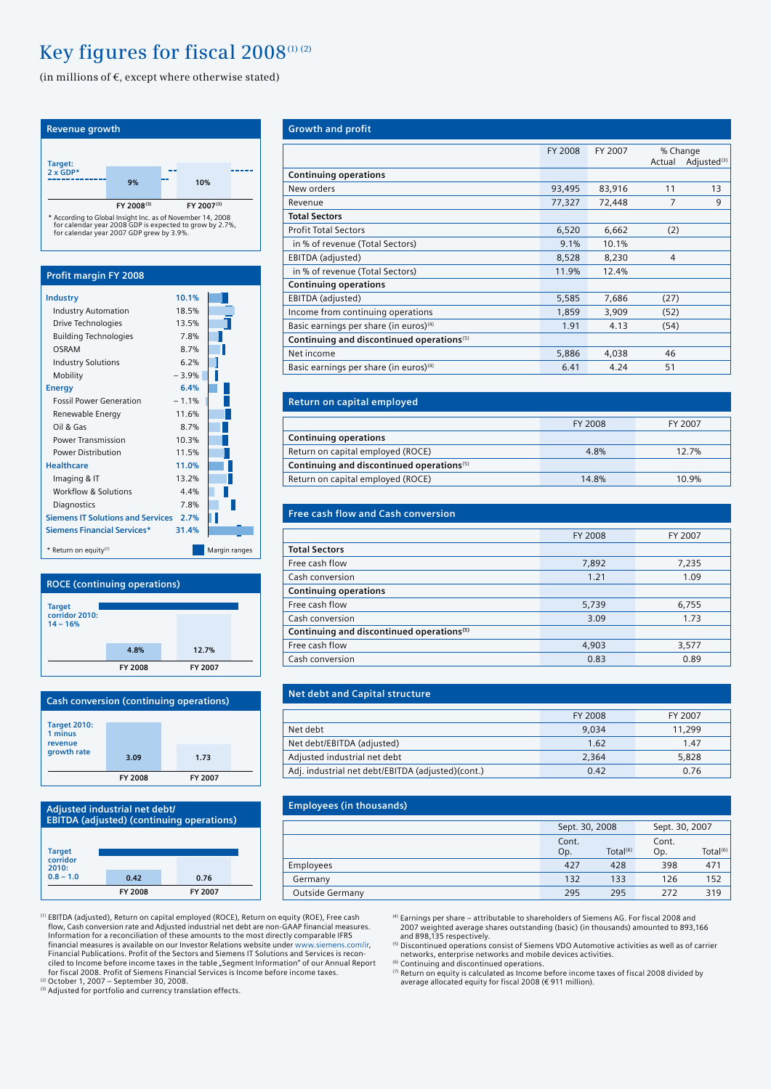# Key figures for fiscal 2008<sup>(1)</sup><sup>(2)</sup>

(in millions of  $\in$ , except where otherwise stated)



### **ROCE (continuing operations)**



| <b>Cash conversion (continuing operations)</b>           |         |         |  |
|----------------------------------------------------------|---------|---------|--|
| <b>Target 2010:</b><br>1 minus<br>revenue<br>growth rate | 3.09    | 1.73    |  |
|                                                          | FY 2008 | FY 2007 |  |



| <b>Growth and profit</b>                              |         |         |                    |                         |
|-------------------------------------------------------|---------|---------|--------------------|-------------------------|
|                                                       | FY 2008 | FY 2007 | % Change<br>Actual | Adjusted <sup>(3)</sup> |
| <b>Continuing operations</b>                          |         |         |                    |                         |
| New orders                                            | 93,495  | 83,916  | 11                 | 13                      |
| Revenue                                               | 77,327  | 72,448  | 7                  | 9                       |
| <b>Total Sectors</b>                                  |         |         |                    |                         |
| <b>Profit Total Sectors</b>                           | 6,520   | 6,662   | (2)                |                         |
| in % of revenue (Total Sectors)                       | 9.1%    | 10.1%   |                    |                         |
| EBITDA (adjusted)                                     | 8,528   | 8,230   | $\overline{4}$     |                         |
| in % of revenue (Total Sectors)                       | 11.9%   | 12.4%   |                    |                         |
| <b>Continuing operations</b>                          |         |         |                    |                         |
| EBITDA (adjusted)                                     | 5,585   | 7,686   | (27)               |                         |
| Income from continuing operations                     | 1,859   | 3,909   | (52)               |                         |
| Basic earnings per share (in euros) <sup>(4)</sup>    | 1.91    | 4.13    | (54)               |                         |
| Continuing and discontinued operations <sup>(5)</sup> |         |         |                    |                         |
| Net income                                            | 5,886   | 4,038   | 46                 |                         |
| Basic earnings per share (in euros) <sup>(4)</sup>    | 6.41    | 4.24    | 51                 |                         |

| Return on capital employed                            |         |         |
|-------------------------------------------------------|---------|---------|
|                                                       | FY 2008 | FY 2007 |
| <b>Continuing operations</b>                          |         |         |
| Return on capital employed (ROCE)                     | 4.8%    | 12.7%   |
| Continuing and discontinued operations <sup>(5)</sup> |         |         |
| Return on capital employed (ROCE)                     | 14.8%   | 10.9%   |

| <b>Free cash flow and Cash conversion</b>             |         |         |
|-------------------------------------------------------|---------|---------|
|                                                       |         |         |
|                                                       | FY 2008 | FY 2007 |
| <b>Total Sectors</b>                                  |         |         |
| Free cash flow                                        | 7,892   | 7,235   |
| Cash conversion                                       | 1.21    | 1.09    |
| <b>Continuing operations</b>                          |         |         |
| Free cash flow                                        | 5,739   | 6,755   |
| Cash conversion                                       | 3.09    | 1.73    |
| Continuing and discontinued operations <sup>(5)</sup> |         |         |
| Free cash flow                                        | 4,903   | 3,577   |
| Cash conversion                                       | 0.83    | 0.89    |

# **Net debt and Capital structure**

|                                                   | FY 2008 | FY 2007 |
|---------------------------------------------------|---------|---------|
| Net debt                                          | 9.034   | 11,299  |
| Net debt/EBITDA (adjusted)                        | 1.62    | 1.47    |
| Adjusted industrial net debt                      | 2.364   | 5.828   |
| Adj. industrial net debt/EBITDA (adjusted)(cont.) | 0.42    | 0.76    |

| <b>Employees (in thousands)</b> |                |                      |                |                      |
|---------------------------------|----------------|----------------------|----------------|----------------------|
|                                 | Sept. 30, 2008 |                      | Sept. 30, 2007 |                      |
|                                 | Cont.<br>Op.   | Total <sup>(6)</sup> | Cont.<br>Op.   | Total <sup>(6)</sup> |
| Employees                       | 427            | 428                  | 398            | 471                  |
| Germany                         | 132            | 133                  | 126            | 152                  |
| Outside Germany                 | 295            | 295                  | 272            | 319                  |
|                                 |                |                      |                |                      |

<sup>(1)</sup> EBITDA (adjusted), Return on capital employed (ROCE), Return on equity (ROE), Free cash<br>flow, Cash conversion rate and Adjusted industrial net debt are non-GAAP financial measures. Information for a reconciliation of these amounts to the most directly comparable IFRS financial measures is available on our Investor Relations website under www.siemens.com/ir, Financial Publications. Profit of the Sectors and Siemens IT Solutions and Services is recon-ciled to Income before income taxes in the table "Segment Information" of our Annual Report for fiscal 2008. Profit of Siemens Financial Services is Income before income taxes. (2) October 1, 2007 – September 30, 2008.

(3) Adjusted for portfolio and currency translation effects.

(4) Earnings per share – attributable to shareholders of Siemens AG. For fiscal 2008 and 2007 weighted average shares outstanding (basic) (in thousands) amounted to 893,166 and 898,135 respectively.

and any respectively.<br>
<sup>(5)</sup> Discontinued operations consist of Siemens VDO Automotive activities as well as of carrier<br>
networks, enterprise networks and mobile devices activities. networks, enterprise networks and mobile devices activities.<br><sup>(6)</sup> Continuing and discontinued operations.<br><sup>の</sup> Return on equity is calculated as Income before income taxes of fiscal 2008 divided by

average allocated equity for fiscal 2008 (€ 911 million).